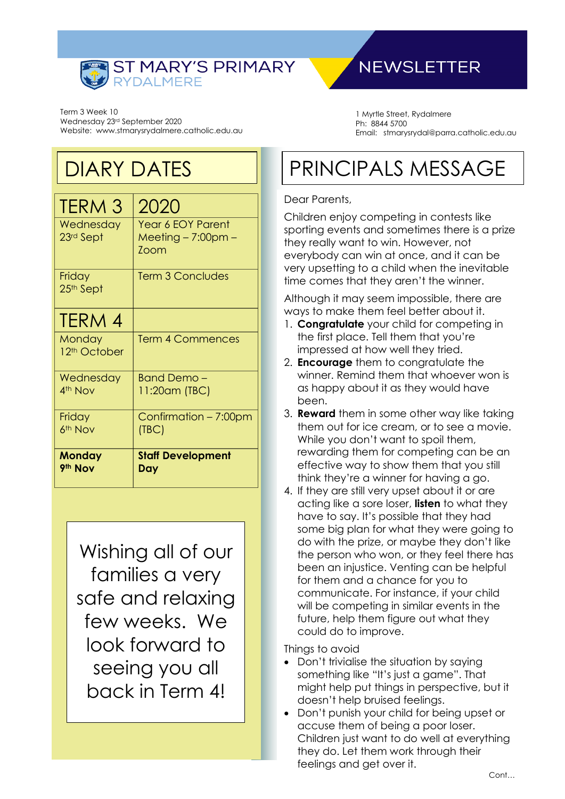

## **NEWSLETTER**

Term 3 Week 10 Wednesday 23rd September 2020 Website: www.stmarysrydalmere.catholic.edu.au

# DIARY DATES

| <b>TERM 3</b>                   | 2020                     |
|---------------------------------|--------------------------|
| Wednesday                       | <b>Year 6 EOY Parent</b> |
| 23rd Sept                       | $Meeting - 7:00pm -$     |
|                                 | Zoom                     |
|                                 | <b>Term 3 Concludes</b>  |
| Friday<br>25 <sup>th</sup> Sept |                          |
|                                 |                          |
| TERM 4                          |                          |
| Monday                          | <b>Term 4 Commences</b>  |
| 12 <sup>th</sup> October        |                          |
| Wednesday                       | <b>Band Demo-</b>        |
| 4th Nov                         | 11:20am (TBC)            |
| Friday                          | Confirmation - 7:00pm    |
| 6 <sup>th</sup> Nov             | (TBC)                    |
|                                 |                          |
| <b>Monday</b>                   | <b>Staff Development</b> |
| 9th Nov                         | Day                      |

Wishing all of our families a very safe and relaxing few weeks. We look forward to seeing you all back in Term 4!

1 Myrtle Street, Rydalmere Ph: 8844 5700 Email: stmarysrydal@parra.catholic.edu.au

# PRINCIPALS MESSAGE

#### Dear Parents,

Children enjoy competing in contests like sporting events and sometimes there is a prize they really want to win. However, not everybody can win at once, and it can be very upsetting to a child when the inevitable time comes that they aren't the winner.

Although it may seem impossible, there are ways to make them feel better about it.

- 1. **Congratulate** your child for competing in the first place. Tell them that you're impressed at how well they tried.
- 2. **Encourage** them to congratulate the winner. Remind them that whoever won is as happy about it as they would have been.
- 3. **Reward** them in some other way like taking them out for ice cream, or to see a movie. While you don't want to spoil them, rewarding them for competing can be an effective way to show them that you still think they're a winner for having a go.
- 4. If they are still very upset about it or are acting like a sore loser, **listen** to what they have to say. It's possible that they had some big plan for what they were going to do with the prize, or maybe they don't like the person who won, or they feel there has been an injustice. Venting can be helpful for them and a chance for you to communicate. For instance, if your child will be competing in similar events in the future, help them figure out what they could do to improve.

Things to avoid

- Don't trivialise the situation by saying something like "It's just a game". That might help put things in perspective, but it doesn't help bruised feelings.
- Don't punish your child for being upset or accuse them of being a poor loser. Children just want to do well at everything they do. Let them work through their feelings and get over it.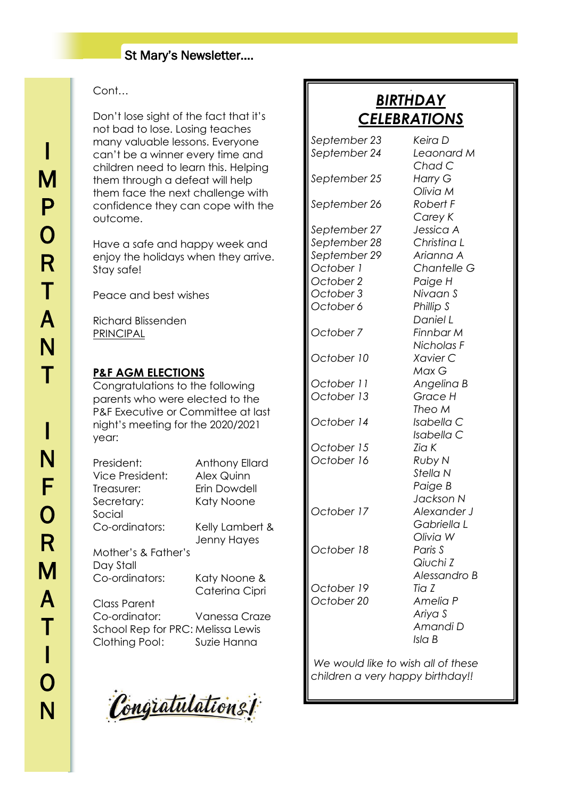### St Mary's Newsletter….

### Cont…

Don't lose sight of the fact that it's not bad to lose. Losing teaches many valuable lessons. Everyone can't be a winner every time and children need to learn this. Helping them through a defeat will help them face the next challenge with confidence they can cope with the outcome.

Have a safe and happy week and enjoy the holidays when they arrive. Stay safe!

Peace and best wishes

Richard Blissenden PRINCIPAL

#### **P&F AGM ELECTIONS**

Congratulations to the following parents who were elected to the P&F Executive or Committee at last night's meeting for the 2020/2021 year:

| President:<br>Vice President:<br>Treasurer:                          | Anthony Ellard<br><b>Alex Quinn</b><br>Erin Dowdell |
|----------------------------------------------------------------------|-----------------------------------------------------|
| Secretary:                                                           | Katy Noone                                          |
| Social                                                               |                                                     |
| Co-ordinators:                                                       | Kelly Lambert &<br>Jenny Hayes                      |
| Mother's & Father's                                                  |                                                     |
| Day Stall                                                            |                                                     |
| Co-ordinators:                                                       | Katy Noone &                                        |
|                                                                      | Caterina Cipri                                      |
| Class Parent                                                         |                                                     |
| Co-ordinator:<br>School Rep for PRC: Melissa Lewis<br>Clothing Pool: | Vanessa Craze<br>Suzie Hanna                        |

Congratulations!

#### J *BIRTHDAY CELEBRATIONS*

*Chad C*

*Olivia M*

*Carey K*

*September 23 Keira D September 24 Leaonard M*

*September 25 Harry G*

*September 26 Robert F*

*September 27 Jessica A September 28 Christina L September 29 Arianna A October 1 Chantelle G*

*October 3 Nivaan S October 6 Phillip S*

*October 10 Xavier C*

*October 11 Angelina B October 13 Grace H*

*October 14 Isabella C*

*October 15 Zia K October 16 Ruby N*

*October 17 Alexander J*

*October 18 Paris S October 19 Tia Z*

*October 2 Paige H Daniel L October 7 Finnbar M Nicholas F Max G Theo M Isabella C*

*Stella N Paige B Jackson N Gabriella L Olivia W Qiuchi Z Alessandro B*

*October 20 Amelia P Ariya S Amandi D*

*Isla B*

*We would like to wish all of these children a very happy birthday!!*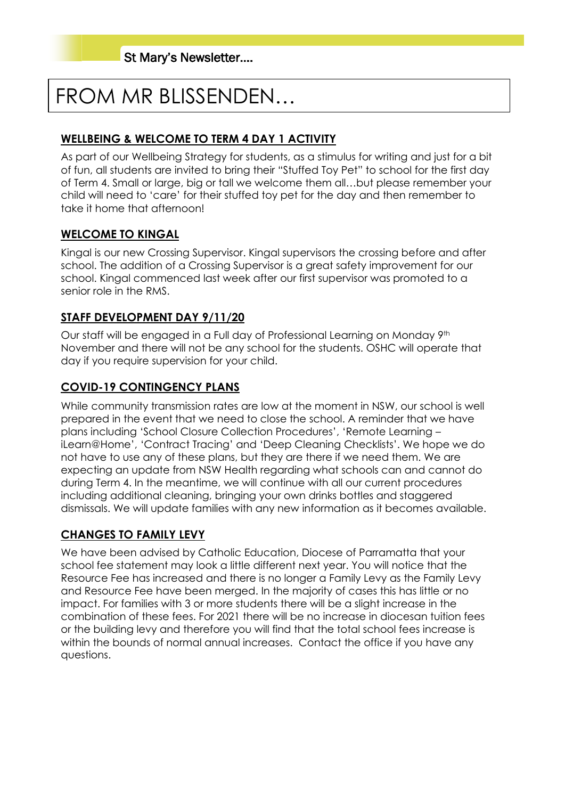# FROM MR BLISSENDEN…

### **WELLBEING & WELCOME TO TERM 4 DAY 1 ACTIVITY**

As part of our Wellbeing Strategy for students, as a stimulus for writing and just for a bit of fun, all students are invited to bring their "Stuffed Toy Pet" to school for the first day of Term 4. Small or large, big or tall we welcome them all…but please remember your child will need to 'care' for their stuffed toy pet for the day and then remember to take it home that afternoon!

#### **WELCOME TO KINGAL**

Kingal is our new Crossing Supervisor. Kingal supervisors the crossing before and after school. The addition of a Crossing Supervisor is a great safety improvement for our school. Kingal commenced last week after our first supervisor was promoted to a senior role in the RMS.

#### **STAFF DEVELOPMENT DAY 9/11/20**

Our staff will be engaged in a Full day of Professional Learning on Monday 9th November and there will not be any school for the students. OSHC will operate that day if you require supervision for your child.

#### **COVID-19 CONTINGENCY PLANS**

While community transmission rates are low at the moment in NSW, our school is well prepared in the event that we need to close the school. A reminder that we have plans including 'School Closure Collection Procedures', 'Remote Learning – iLearn@Home', 'Contract Tracing' and 'Deep Cleaning Checklists'. We hope we do not have to use any of these plans, but they are there if we need them. We are expecting an update from NSW Health regarding what schools can and cannot do during Term 4. In the meantime, we will continue with all our current procedures including additional cleaning, bringing your own drinks bottles and staggered dismissals. We will update families with any new information as it becomes available.

### **CHANGES TO FAMILY LEVY**

We have been advised by Catholic Education, Diocese of Parramatta that your school fee statement may look a little different next year. You will notice that the Resource Fee has increased and there is no longer a Family Levy as the Family Levy and Resource Fee have been merged. In the majority of cases this has little or no impact. For families with 3 or more students there will be a slight increase in the combination of these fees. For 2021 there will be no increase in diocesan tuition fees or the building levy and therefore you will find that the total school fees increase is within the bounds of normal annual increases. Contact the office if you have any questions.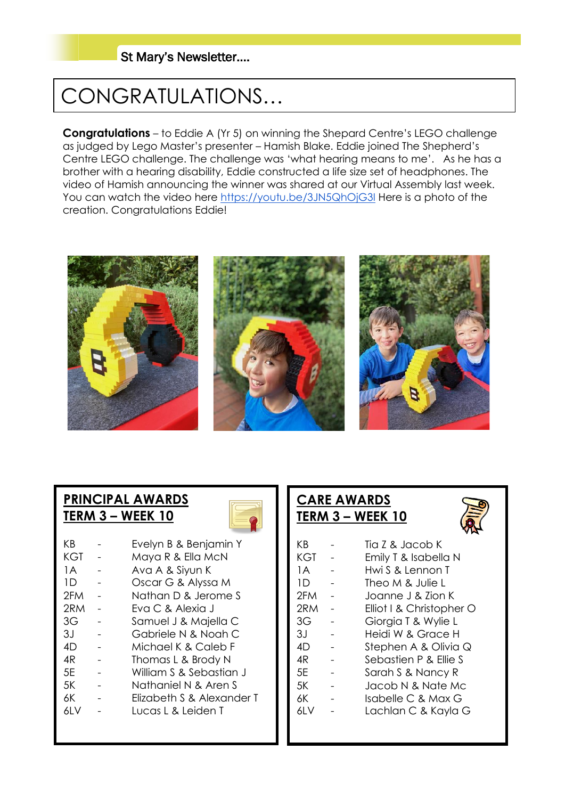### St Mary's Newsletter….

# CONGRATULATIONS…

**Congratulations** – to Eddie A (Yr 5) on winning the Shepard Centre's LEGO challenge as judged by Lego Master's presenter – Hamish Blake. Eddie joined The Shepherd's Centre LEGO challenge. The challenge was 'what hearing means to me'. As he has a brother with a hearing disability, Eddie constructed a life size set of headphones. The video of Hamish announcing the winner was shared at our Virtual Assembly last week. You can watch the video here<https://youtu.be/3JN5QhOjG3I> Here is a photo of the creation. Congratulations Eddie!



### **PRINCIPAL AWARDS TERM 3 – WEEK 10**

| ΚB   | Evelyn B & Benjamin Y     |
|------|---------------------------|
| KGT  | Maya R & Ella McN         |
| 1 A  | Ava A & Siyun K           |
| 1D.  | Oscar G & Alyssa M        |
| 2FM  | Nathan D & Jerome S       |
| 2RM  | Fva C. & Alexia J         |
| 3G   | Samuel J & Majella C      |
| ЗJ   | Gabriele N & Noah C       |
| 4D   | Michael K & Caleb F       |
| 4R   | Thomas L & Brody N        |
| 5F   | William S & Sebastian J   |
| 5K   | Nathaniel N & Aren S      |
| 6К   | Elizabeth S & Alexander T |
| 61 V | Tucas E& Leiden T         |
|      |                           |

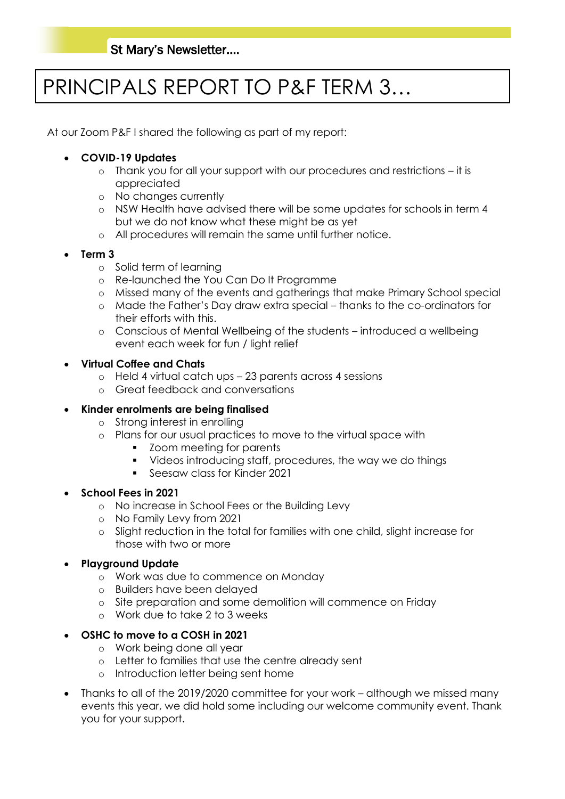# PRINCIPALS REPORT TO P&F TERM 3…

At our Zoom P&F I shared the following as part of my report:

#### • **COVID-19 Updates**

- o Thank you for all your support with our procedures and restrictions it is appreciated
- o No changes currently
- o NSW Health have advised there will be some updates for schools in term 4 but we do not know what these might be as yet
- o All procedures will remain the same until further notice.
- **Term 3**
	- o Solid term of learning
	- o Re-launched the You Can Do It Programme
	- o Missed many of the events and gatherings that make Primary School special
	- o Made the Father's Day draw extra special thanks to the co-ordinators for their efforts with this.
	- o Conscious of Mental Wellbeing of the students introduced a wellbeing event each week for fun / light relief
- **Virtual Coffee and Chats**
	- o Held 4 virtual catch ups 23 parents across 4 sessions
	- o Great feedback and conversations

#### • **Kinder enrolments are being finalised**

- o Strong interest in enrolling
- o Plans for our usual practices to move to the virtual space with
	- Zoom meeting for parents
	- Videos introducing staff, procedures, the way we do things
	- Seesaw class for Kinder 2021

#### • **School Fees in 2021**

- o No increase in School Fees or the Building Levy
- o No Family Levy from 2021
- o Slight reduction in the total for families with one child, slight increase for those with two or more
- **Playground Update**
	- o Work was due to commence on Monday
	- o Builders have been delayed
	- o Site preparation and some demolition will commence on Friday
	- o Work due to take 2 to 3 weeks

#### • **OSHC to move to a COSH in 2021**

- o Work being done all year
- o Letter to families that use the centre already sent
- o Introduction letter being sent home
- Thanks to all of the 2019/2020 committee for your work although we missed many events this year, we did hold some including our welcome community event. Thank you for your support.